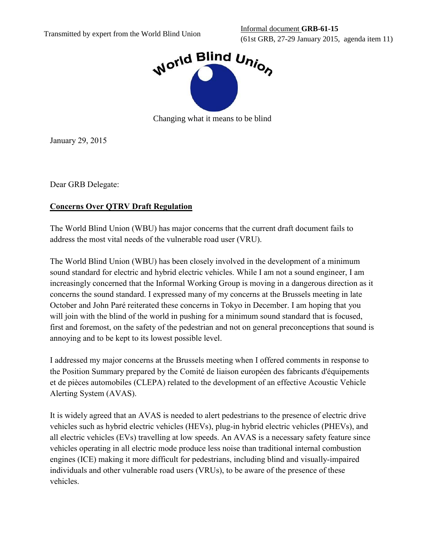

Changing what it means to be blind

January 29, 2015

Dear GRB Delegate:

## **Concerns Over QTRV Draft Regulation**

The World Blind Union (WBU) has major concerns that the current draft document fails to address the most vital needs of the vulnerable road user (VRU).

The World Blind Union (WBU) has been closely involved in the development of a minimum sound standard for electric and hybrid electric vehicles. While I am not a sound engineer, I am increasingly concerned that the Informal Working Group is moving in a dangerous direction as it concerns the sound standard. I expressed many of my concerns at the Brussels meeting in late October and John Paré reiterated these concerns in Tokyo in December. I am hoping that you will join with the blind of the world in pushing for a minimum sound standard that is focused, first and foremost, on the safety of the pedestrian and not on general preconceptions that sound is annoying and to be kept to its lowest possible level.

I addressed my major concerns at the Brussels meeting when I offered comments in response to the Position Summary prepared by the Comité de liaison européen des fabricants d'équipements et de pièces automobiles (CLEPA) related to the development of an effective Acoustic Vehicle Alerting System (AVAS).

It is widely agreed that an AVAS is needed to alert pedestrians to the presence of electric drive vehicles such as hybrid electric vehicles (HEVs), plug-in hybrid electric vehicles (PHEVs), and all electric vehicles (EVs) travelling at low speeds. An AVAS is a necessary safety feature since vehicles operating in all electric mode produce less noise than traditional internal combustion engines (ICE) making it more difficult for pedestrians, including blind and visually-impaired individuals and other vulnerable road users (VRUs), to be aware of the presence of these vehicles.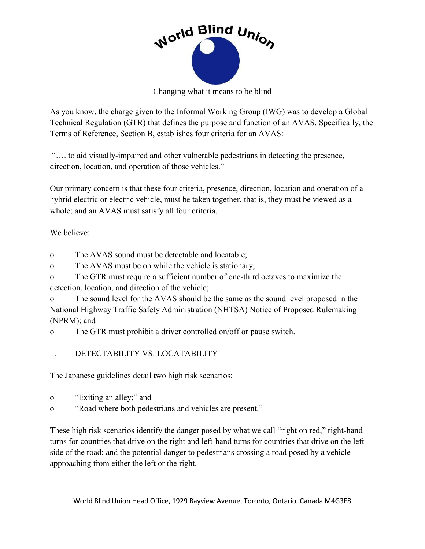

Changing what it means to be blind

As you know, the charge given to the Informal Working Group (IWG) was to develop a Global Technical Regulation (GTR) that defines the purpose and function of an AVAS. Specifically, the Terms of Reference, Section B, establishes four criteria for an AVAS:

"…. to aid visually-impaired and other vulnerable pedestrians in detecting the presence, direction, location, and operation of those vehicles."

Our primary concern is that these four criteria, presence, direction, location and operation of a hybrid electric or electric vehicle, must be taken together, that is, they must be viewed as a whole; and an AVAS must satisfy all four criteria.

We believe:

o The AVAS sound must be detectable and locatable;

o The AVAS must be on while the vehicle is stationary;

o The GTR must require a sufficient number of one-third octaves to maximize the detection, location, and direction of the vehicle;

o The sound level for the AVAS should be the same as the sound level proposed in the National Highway Traffic Safety Administration (NHTSA) Notice of Proposed Rulemaking (NPRM); and

o The GTR must prohibit a driver controlled on/off or pause switch.

1. DETECTABILITY VS. LOCATABILITY

The Japanese guidelines detail two high risk scenarios:

- o "Exiting an alley;" and
- o "Road where both pedestrians and vehicles are present."

These high risk scenarios identify the danger posed by what we call "right on red," right-hand turns for countries that drive on the right and left-hand turns for countries that drive on the left side of the road; and the potential danger to pedestrians crossing a road posed by a vehicle approaching from either the left or the right.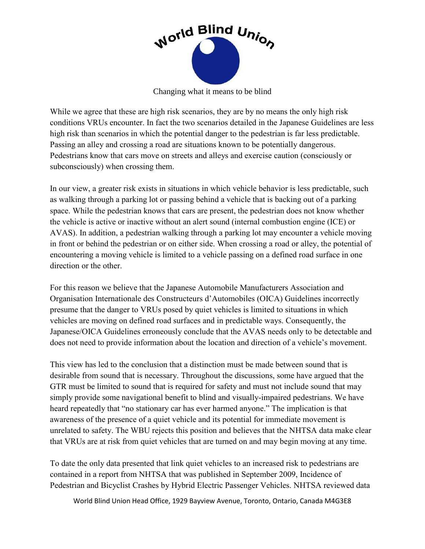

Changing what it means to be blind

While we agree that these are high risk scenarios, they are by no means the only high risk conditions VRUs encounter. In fact the two scenarios detailed in the Japanese Guidelines are less high risk than scenarios in which the potential danger to the pedestrian is far less predictable. Passing an alley and crossing a road are situations known to be potentially dangerous. Pedestrians know that cars move on streets and alleys and exercise caution (consciously or subconsciously) when crossing them.

In our view, a greater risk exists in situations in which vehicle behavior is less predictable, such as walking through a parking lot or passing behind a vehicle that is backing out of a parking space. While the pedestrian knows that cars are present, the pedestrian does not know whether the vehicle is active or inactive without an alert sound (internal combustion engine (ICE) or AVAS). In addition, a pedestrian walking through a parking lot may encounter a vehicle moving in front or behind the pedestrian or on either side. When crossing a road or alley, the potential of encountering a moving vehicle is limited to a vehicle passing on a defined road surface in one direction or the other.

For this reason we believe that the Japanese Automobile Manufacturers Association and Organisation Internationale des Constructeurs d'Automobiles (OICA) Guidelines incorrectly presume that the danger to VRUs posed by quiet vehicles is limited to situations in which vehicles are moving on defined road surfaces and in predictable ways. Consequently, the Japanese/OICA Guidelines erroneously conclude that the AVAS needs only to be detectable and does not need to provide information about the location and direction of a vehicle's movement.

This view has led to the conclusion that a distinction must be made between sound that is desirable from sound that is necessary. Throughout the discussions, some have argued that the GTR must be limited to sound that is required for safety and must not include sound that may simply provide some navigational benefit to blind and visually-impaired pedestrians. We have heard repeatedly that "no stationary car has ever harmed anyone." The implication is that awareness of the presence of a quiet vehicle and its potential for immediate movement is unrelated to safety. The WBU rejects this position and believes that the NHTSA data make clear that VRUs are at risk from quiet vehicles that are turned on and may begin moving at any time.

To date the only data presented that link quiet vehicles to an increased risk to pedestrians are contained in a report from NHTSA that was published in September 2009, Incidence of Pedestrian and Bicyclist Crashes by Hybrid Electric Passenger Vehicles. NHTSA reviewed data

World Blind Union Head Office, 1929 Bayview Avenue, Toronto, Ontario, Canada M4G3E8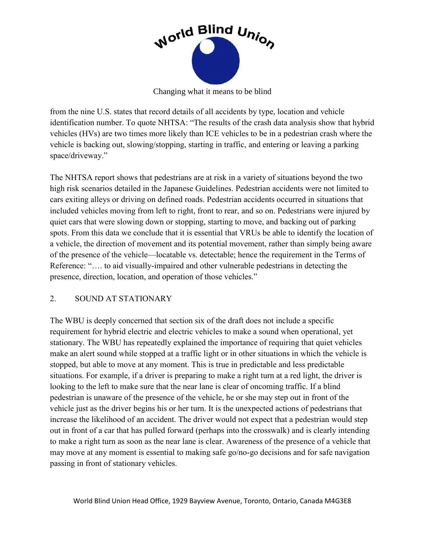

Changing what it means to be blind

from the nine U.S. states that record details of all accidents by type, location and vehicle identification number. To quote NHTSA: "The results of the crash data analysis show that hybrid vehicles (HVs) are two times more likely than ICE vehicles to be in a pedestrian crash where the vehicle is backing out, slowing/stopping, starting in traffic, and entering or leaving a parking space/driveway."

The NHTSA report shows that pedestrians are at risk in a variety of situations beyond the two high risk scenarios detailed in the Japanese Guidelines. Pedestrian accidents were not limited to cars exiting alleys or driving on defined roads. Pedestrian accidents occurred in situations that included vehicles moving from left to right, front to rear, and so on. Pedestrians were injured by quiet cars that were slowing down or stopping, starting to move, and backing out of parking spots. From this data we conclude that it is essential that VRUs be able to identify the location of a vehicle, the direction of movement and its potential movement, rather than simply being aware of the presence of the vehicle—locatable vs. detectable; hence the requirement in the Terms of Reference: "…. to aid visually-impaired and other vulnerable pedestrians in detecting the presence, direction, location, and operation of those vehicles."

## 2. SOUND AT STATIONARY

The WBU is deeply concerned that section six of the draft does not include a specific requirement for hybrid electric and electric vehicles to make a sound when operational, yet stationary. The WBU has repeatedly explained the importance of requiring that quiet vehicles make an alert sound while stopped at a traffic light or in other situations in which the vehicle is stopped, but able to move at any moment. This is true in predictable and less predictable situations. For example, if a driver is preparing to make a right turn at a red light, the driver is looking to the left to make sure that the near lane is clear of oncoming traffic. If a blind pedestrian is unaware of the presence of the vehicle, he or she may step out in front of the vehicle just as the driver begins his or her turn. It is the unexpected actions of pedestrians that increase the likelihood of an accident. The driver would not expect that a pedestrian would step out in front of a car that has pulled forward (perhaps into the crosswalk) and is clearly intending to make a right turn as soon as the near lane is clear. Awareness of the presence of a vehicle that may move at any moment is essential to making safe go/no-go decisions and for safe navigation passing in front of stationary vehicles.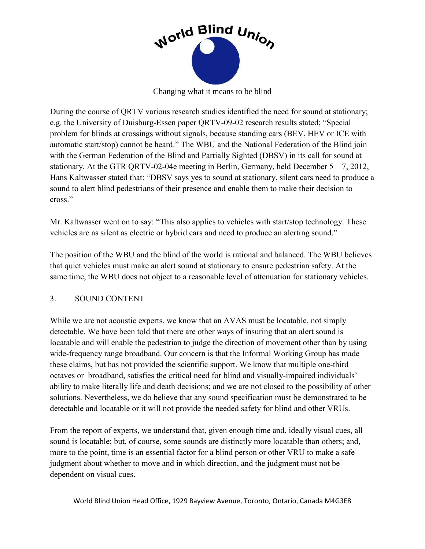

Changing what it means to be blind

During the course of QRTV various research studies identified the need for sound at stationary; e.g. the University of Duisburg-Essen paper QRTV-09-02 research results stated; "Special problem for blinds at crossings without signals, because standing cars (BEV, HEV or ICE with automatic start/stop) cannot be heard." The WBU and the National Federation of the Blind join with the German Federation of the Blind and Partially Sighted (DBSV) in its call for sound at stationary. At the GTR QRTV-02-04e meeting in Berlin, Germany, held December 5 – 7, 2012, Hans Kaltwasser stated that: "DBSV says yes to sound at stationary, silent cars need to produce a sound to alert blind pedestrians of their presence and enable them to make their decision to cross."

Mr. Kaltwasser went on to say: "This also applies to vehicles with start/stop technology. These vehicles are as silent as electric or hybrid cars and need to produce an alerting sound."

The position of the WBU and the blind of the world is rational and balanced. The WBU believes that quiet vehicles must make an alert sound at stationary to ensure pedestrian safety. At the same time, the WBU does not object to a reasonable level of attenuation for stationary vehicles.

#### 3. SOUND CONTENT

While we are not acoustic experts, we know that an AVAS must be locatable, not simply detectable. We have been told that there are other ways of insuring that an alert sound is locatable and will enable the pedestrian to judge the direction of movement other than by using wide-frequency range broadband. Our concern is that the Informal Working Group has made these claims, but has not provided the scientific support. We know that multiple one-third octaves or broadband, satisfies the critical need for blind and visually-impaired individuals' ability to make literally life and death decisions; and we are not closed to the possibility of other solutions. Nevertheless, we do believe that any sound specification must be demonstrated to be detectable and locatable or it will not provide the needed safety for blind and other VRUs.

From the report of experts, we understand that, given enough time and, ideally visual cues, all sound is locatable; but, of course, some sounds are distinctly more locatable than others; and, more to the point, time is an essential factor for a blind person or other VRU to make a safe judgment about whether to move and in which direction, and the judgment must not be dependent on visual cues.

World Blind Union Head Office, 1929 Bayview Avenue, Toronto, Ontario, Canada M4G3E8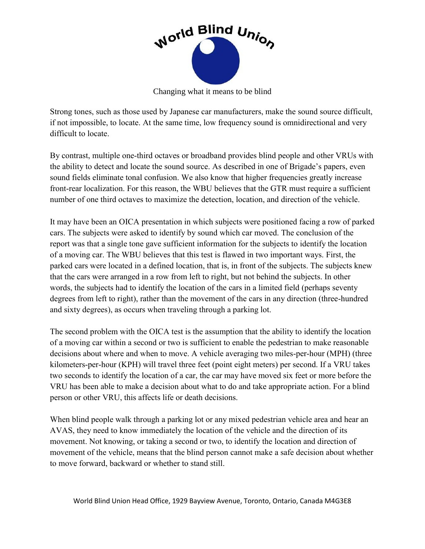

Changing what it means to be blind

Strong tones, such as those used by Japanese car manufacturers, make the sound source difficult, if not impossible, to locate. At the same time, low frequency sound is omnidirectional and very difficult to locate.

By contrast, multiple one-third octaves or broadband provides blind people and other VRUs with the ability to detect and locate the sound source. As described in one of Brigade's papers, even sound fields eliminate tonal confusion. We also know that higher frequencies greatly increase front-rear localization. For this reason, the WBU believes that the GTR must require a sufficient number of one third octaves to maximize the detection, location, and direction of the vehicle.

It may have been an OICA presentation in which subjects were positioned facing a row of parked cars. The subjects were asked to identify by sound which car moved. The conclusion of the report was that a single tone gave sufficient information for the subjects to identify the location of a moving car. The WBU believes that this test is flawed in two important ways. First, the parked cars were located in a defined location, that is, in front of the subjects. The subjects knew that the cars were arranged in a row from left to right, but not behind the subjects. In other words, the subjects had to identify the location of the cars in a limited field (perhaps seventy degrees from left to right), rather than the movement of the cars in any direction (three-hundred and sixty degrees), as occurs when traveling through a parking lot.

The second problem with the OICA test is the assumption that the ability to identify the location of a moving car within a second or two is sufficient to enable the pedestrian to make reasonable decisions about where and when to move. A vehicle averaging two miles-per-hour (MPH) (three kilometers-per-hour (KPH) will travel three feet (point eight meters) per second. If a VRU takes two seconds to identify the location of a car, the car may have moved six feet or more before the VRU has been able to make a decision about what to do and take appropriate action. For a blind person or other VRU, this affects life or death decisions.

When blind people walk through a parking lot or any mixed pedestrian vehicle area and hear an AVAS, they need to know immediately the location of the vehicle and the direction of its movement. Not knowing, or taking a second or two, to identify the location and direction of movement of the vehicle, means that the blind person cannot make a safe decision about whether to move forward, backward or whether to stand still.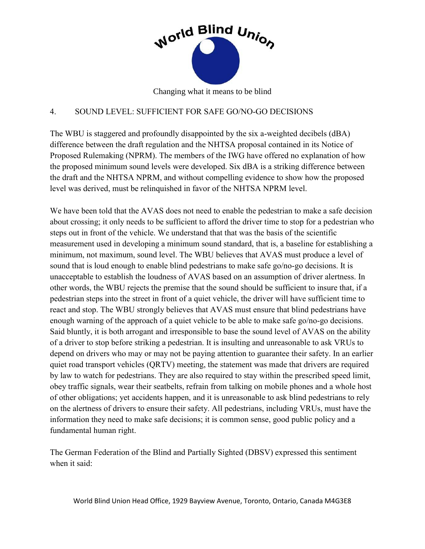

Changing what it means to be blind

### 4. SOUND LEVEL: SUFFICIENT FOR SAFE GO/NO-GO DECISIONS

The WBU is staggered and profoundly disappointed by the six a-weighted decibels (dBA) difference between the draft regulation and the NHTSA proposal contained in its Notice of Proposed Rulemaking (NPRM). The members of the IWG have offered no explanation of how the proposed minimum sound levels were developed. Six dBA is a striking difference between the draft and the NHTSA NPRM, and without compelling evidence to show how the proposed level was derived, must be relinquished in favor of the NHTSA NPRM level.

We have been told that the AVAS does not need to enable the pedestrian to make a safe decision about crossing; it only needs to be sufficient to afford the driver time to stop for a pedestrian who steps out in front of the vehicle. We understand that that was the basis of the scientific measurement used in developing a minimum sound standard, that is, a baseline for establishing a minimum, not maximum, sound level. The WBU believes that AVAS must produce a level of sound that is loud enough to enable blind pedestrians to make safe go/no-go decisions. It is unacceptable to establish the loudness of AVAS based on an assumption of driver alertness. In other words, the WBU rejects the premise that the sound should be sufficient to insure that, if a pedestrian steps into the street in front of a quiet vehicle, the driver will have sufficient time to react and stop. The WBU strongly believes that AVAS must ensure that blind pedestrians have enough warning of the approach of a quiet vehicle to be able to make safe go/no-go decisions. Said bluntly, it is both arrogant and irresponsible to base the sound level of AVAS on the ability of a driver to stop before striking a pedestrian. It is insulting and unreasonable to ask VRUs to depend on drivers who may or may not be paying attention to guarantee their safety. In an earlier quiet road transport vehicles (QRTV) meeting, the statement was made that drivers are required by law to watch for pedestrians. They are also required to stay within the prescribed speed limit, obey traffic signals, wear their seatbelts, refrain from talking on mobile phones and a whole host of other obligations; yet accidents happen, and it is unreasonable to ask blind pedestrians to rely on the alertness of drivers to ensure their safety. All pedestrians, including VRUs, must have the information they need to make safe decisions; it is common sense, good public policy and a fundamental human right.

The German Federation of the Blind and Partially Sighted (DBSV) expressed this sentiment when it said: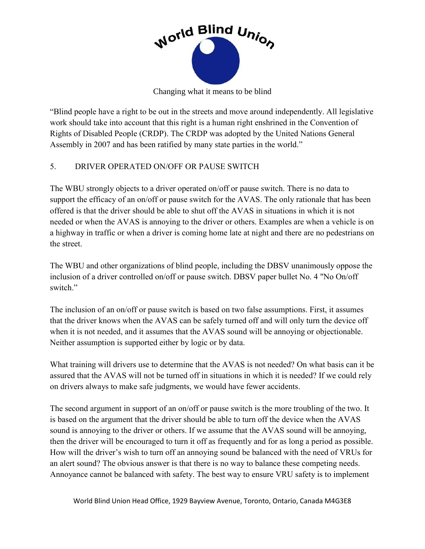

Changing what it means to be blind

"Blind people have a right to be out in the streets and move around independently. All legislative work should take into account that this right is a human right enshrined in the Convention of Rights of Disabled People (CRDP). The CRDP was adopted by the United Nations General Assembly in 2007 and has been ratified by many state parties in the world."

# 5. DRIVER OPERATED ON/OFF OR PAUSE SWITCH

The WBU strongly objects to a driver operated on/off or pause switch. There is no data to support the efficacy of an on/off or pause switch for the AVAS. The only rationale that has been offered is that the driver should be able to shut off the AVAS in situations in which it is not needed or when the AVAS is annoying to the driver or others. Examples are when a vehicle is on a highway in traffic or when a driver is coming home late at night and there are no pedestrians on the street.

The WBU and other organizations of blind people, including the DBSV unanimously oppose the inclusion of a driver controlled on/off or pause switch. DBSV paper bullet No. 4 "No On/off switch<sup>"</sup>

The inclusion of an on/off or pause switch is based on two false assumptions. First, it assumes that the driver knows when the AVAS can be safely turned off and will only turn the device off when it is not needed, and it assumes that the AVAS sound will be annoying or objectionable. Neither assumption is supported either by logic or by data.

What training will drivers use to determine that the AVAS is not needed? On what basis can it be assured that the AVAS will not be turned off in situations in which it is needed? If we could rely on drivers always to make safe judgments, we would have fewer accidents.

The second argument in support of an on/off or pause switch is the more troubling of the two. It is based on the argument that the driver should be able to turn off the device when the AVAS sound is annoying to the driver or others. If we assume that the AVAS sound will be annoying, then the driver will be encouraged to turn it off as frequently and for as long a period as possible. How will the driver's wish to turn off an annoying sound be balanced with the need of VRUs for an alert sound? The obvious answer is that there is no way to balance these competing needs. Annoyance cannot be balanced with safety. The best way to ensure VRU safety is to implement